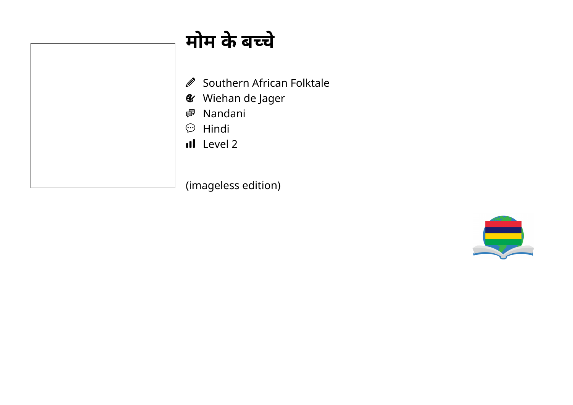## **मोम केबचे**

- Southern African Folktale  $\mathscr{D}$
- Wiehan de Jager
- Nandani
- $\circledcirc$  Hindi
- Il Level 2

(imageless edition)

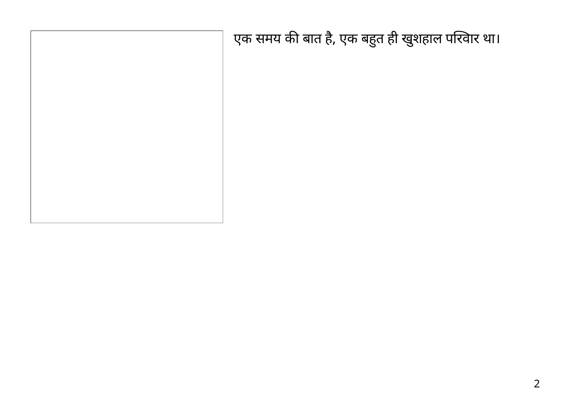एक समय की बात है, एक बहुत ही खुशहाल परिवार था।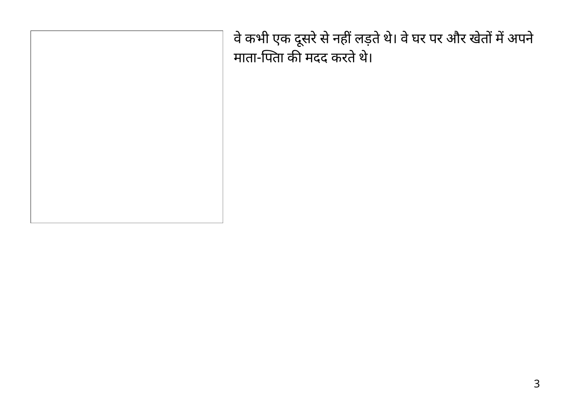वे कभी एक दूसरे से नहीं लड़ते थे। वे घर पर और खेतों में अपने माता-पिता की मदद करते थे।

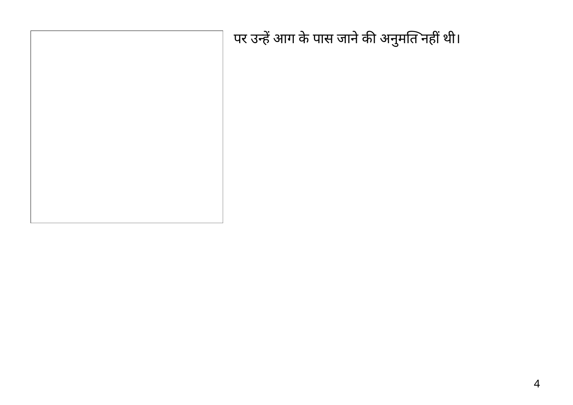| पर उन्हें आग के पास जाने की अनुमति नहीं थी। |
|---------------------------------------------|
|                                             |
|                                             |
|                                             |
|                                             |
|                                             |
|                                             |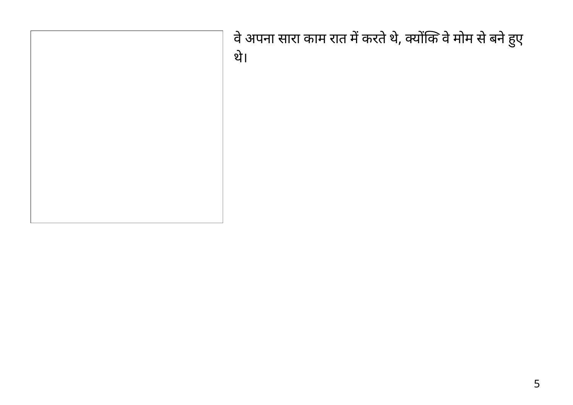| वे अपना सारा काम रात में करते थे, क्योंकि वे मोम से बने हुए<br>थे। |
|--------------------------------------------------------------------|
|                                                                    |
|                                                                    |
|                                                                    |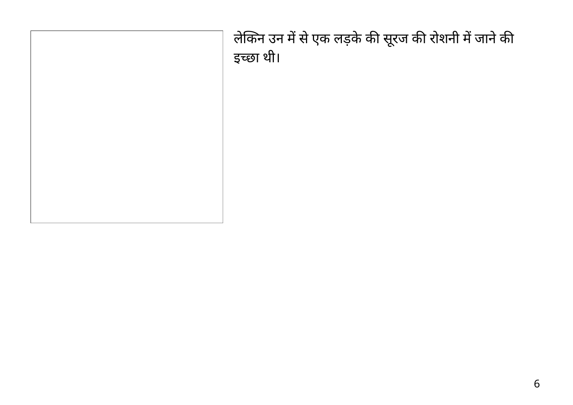लेकिन उन में से एक लड़के की सूरज की रोशनी में जाने की इच्छा थी।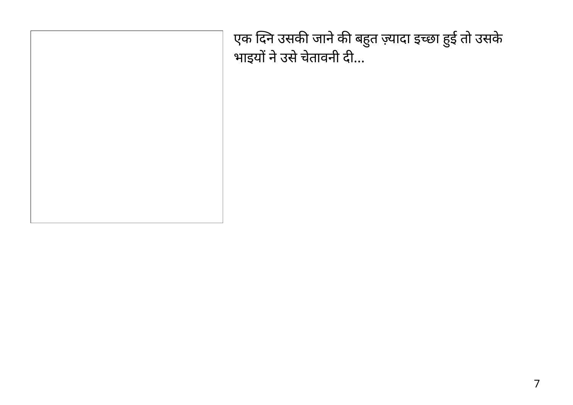एक दिने उसकी जाने की बहुत ज़्यादा इच्छा हुई तो उसके भाइयों ने उसे चेतावनी दी...

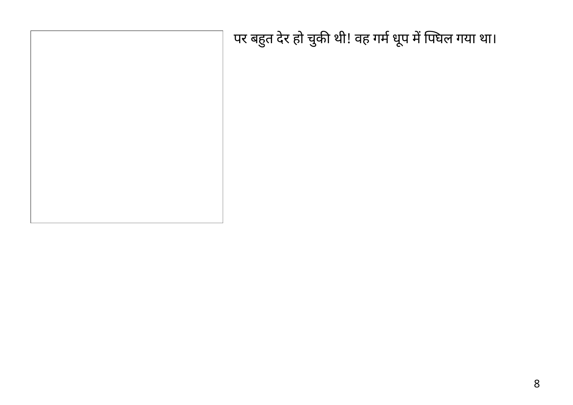| पर बहुत देर हो चुकी थी! वह गर्म धूप में पिघल गया था। |
|------------------------------------------------------|
|                                                      |
|                                                      |
|                                                      |
|                                                      |
|                                                      |
|                                                      |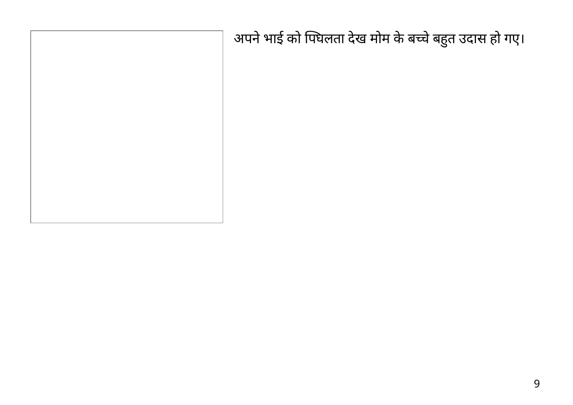| अपने भाई को पिघलता देख मोम के बच्चे बहुत उदास हो गए। |
|------------------------------------------------------|
|                                                      |
|                                                      |
|                                                      |
|                                                      |
|                                                      |
|                                                      |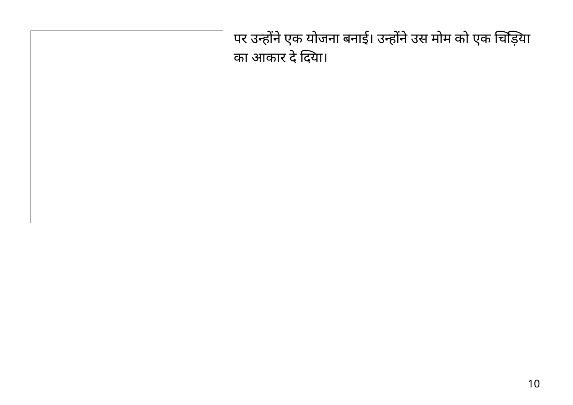पर उन्होंने एक योजना बनाई। उन्होंने उस मोम को एक चिड़िया का आकार दे दिया।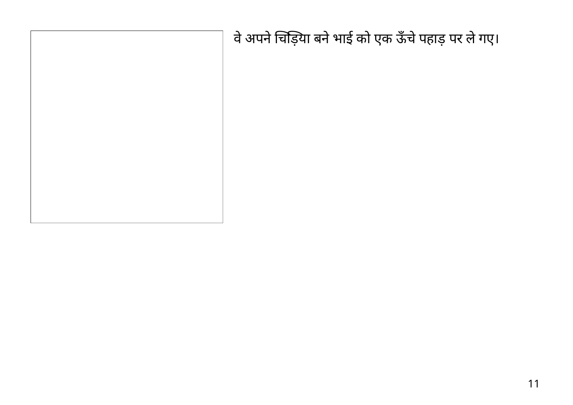| वे अपने चिड़िया बने भाई को एक ऊँचे पहाड़ पर ले गए। |
|----------------------------------------------------|
|                                                    |
|                                                    |
|                                                    |
|                                                    |
|                                                    |
|                                                    |
|                                                    |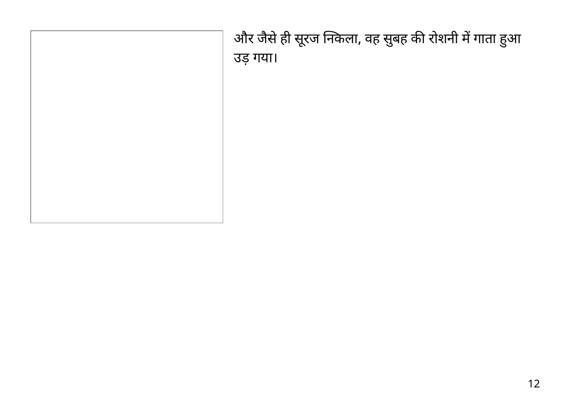और जैसे ही सूरज निकला, वह सुबह की रोशनी में गाता हुआ उड़ गया।